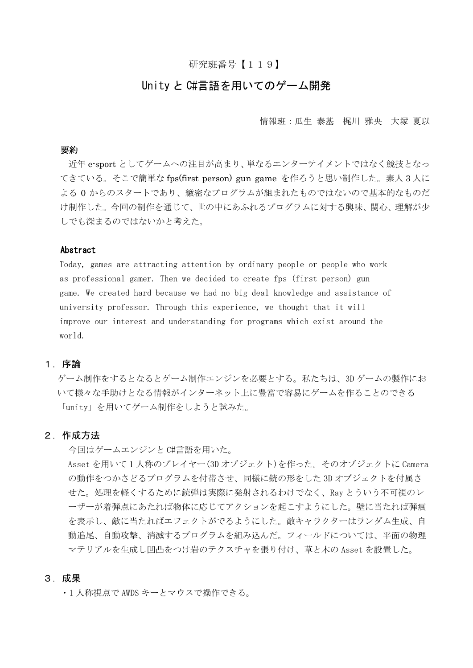## 研究班番号【119】

# Unity と C#言語を用いてのゲーム開発

情報班:瓜生 泰基 梶川 雅央 大塚 夏以

#### 要約

近年 e-sport としてゲームへの注目が高まり、単なるエンターテイメントではなく競技となっ てきている。そこで簡単な fps(first person) gun game を作ろうと思い制作した。素人 3 人に よる 0 からのスタートであり、緻密なプログラムが組まれたものではないので基本的なものだ け制作した。今回の制作を通じて、世の中にあふれるプログラムに対する興味、関心、理解が少 しでも深まるのではないかと考えた。

#### Abstract

Today, games are attracting attention by ordinary people or people who work as professional gamer. Then we decided to create fps (first person) gun game. We created hard because we had no big deal knowledge and assistance of university professor. Through this experience, we thought that it will improve our interest and understanding for programs which exist around the world.

## 1.序論

ゲーム制作をするとなるとゲーム制作エンジンを必要とする。私たちは、3D ゲームの製作にお いて様々な手助けとなる情報がインターネット上に豊富で容易にゲームを作ることのできる 「unity」を用いてゲーム制作をしようと試みた。

#### 2.作成方法

今回はゲームエンジンと C#言語を用いた。 Asset を用いて1人称のプレイヤー(3D オブジェクト)を作った。そのオブジェクトに Camera の動作をつかさどるプログラムを付帯させ、同様に銃の形をした 3D オブジェクトを付属さ せた。処理を軽くするために銃弾は実際に発射されるわけでなく、Ray とういう不可視のレ ーザーが着弾点にあたれば物体に応じてアクションを起こすようにした。壁に当たれば弾痕 を表示し、敵に当たればエフェクトがでるようにした。敵キャラクターはランダム生成、自 動追尾、自動攻撃、消滅するプログラムを組み込んだ。フィールドについては、平面の物理 マテリアルを生成し凹凸をつけ岩のテクスチャを張り付け、草と木の Asset を設置した。

### 3.成果

・1 人称視点で AWDS キーとマウスで操作できる。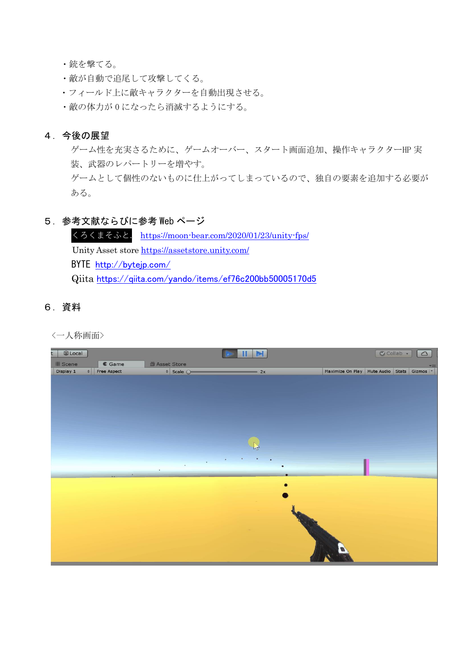・銃を撃てる。

- ・敵が自動で追尾して攻撃してくる。
- ・フィールド上に敵キャラクターを自動出現させる。
- ・敵の体力が 0 になったら消滅するようにする。

## 4.今後の展望

ゲーム性を充実さるために、ゲームオーバー、スタート画面追加、操作キャラクターHP 実 装、武器のレパートリーを増やす。

ゲームとして個性のないものに仕上がってしまっているので、独自の要素を追加する必要が ある。

### 5.参考文献ならびに参考 Web ページ

 くろくまそふと. <https://moon-bear.com/2020/01/23/unity-fps/> Unity Asset store <https://assetstore.unity.com/> BYTE <http://bytejp.com/> Qiita <https://qiita.com/yando/items/ef76c200bb50005170d5>

# 6.資料

<一人称画面>

| Local<br>t. |                 |                                | $   \mathbb{N}$ |           | Collab -                                       | $\circ$                  |
|-------------|-----------------|--------------------------------|-----------------|-----------|------------------------------------------------|--------------------------|
| # Scene     | $\epsilon$ Game | Asset Store                    |                 |           |                                                | $\overline{\phantom{a}}$ |
| Display 1   | # Free Aspect   | $\frac{1}{2}$ Scale $\bigcirc$ | $= 2x$          |           | Maximize On Play   Mute Audio   Stats   Gizmos |                          |
|             |                 |                                |                 |           |                                                |                          |
|             |                 |                                |                 |           |                                                |                          |
|             |                 |                                |                 |           |                                                |                          |
|             |                 |                                |                 |           |                                                |                          |
|             |                 |                                |                 |           |                                                |                          |
|             |                 |                                | M               |           |                                                |                          |
|             |                 |                                |                 |           |                                                |                          |
|             | ٠               |                                |                 |           |                                                |                          |
|             |                 |                                | ٠               |           |                                                |                          |
|             |                 |                                |                 |           |                                                |                          |
|             |                 |                                |                 |           |                                                |                          |
|             |                 |                                |                 |           |                                                |                          |
|             |                 |                                |                 |           |                                                |                          |
|             |                 |                                |                 |           |                                                |                          |
|             |                 |                                |                 | <b>Th</b> |                                                |                          |
|             |                 |                                |                 |           |                                                |                          |
|             |                 |                                |                 |           |                                                |                          |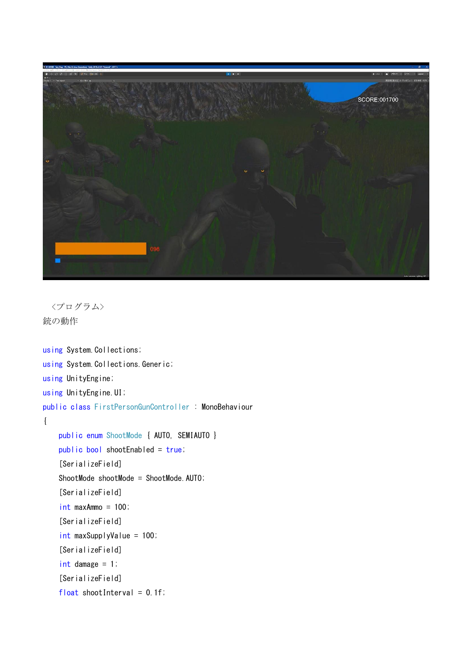

<プログラム> 銃の動作

```
using System. Collections;
using System.Collections.Generic;
using UnityEngine;
using UnityEngine.UI;
public class FirstPersonGunController : MonoBehaviour
{
     public enum ShootMode { AUTO, SEMIAUTO }
     public bool shootEnabled = true;
     [SerializeField]
     ShootMode shootMode = ShootMode.AUTO;
     [SerializeField]
     int maxAmmo = 100;
     [SerializeField]
    int maxSupplyValue = 100;
     [SerializeField]
     int damage = 1;
     [SerializeField]
    float shootInterval = 0.1f;
```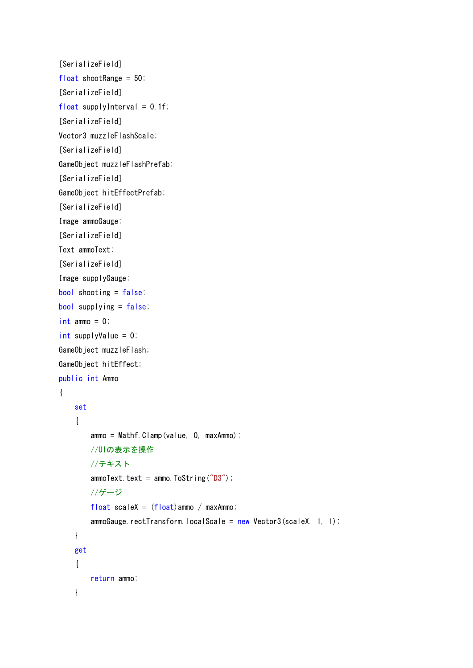```
 [SerializeField]
 float shootRange = 50;
 [SerializeField]
float supplyInterval = 0.1f;
 [SerializeField]
 Vector3 muzzleFlashScale;
 [SerializeField]
 GameObject muzzleFlashPrefab;
 [SerializeField]
 GameObject hitEffectPrefab;
 [SerializeField]
 Image ammoGauge;
 [SerializeField]
 Text ammoText;
 [SerializeField]
 Image supplyGauge;
 bool shooting = false;
bool supplying = false;
int ammo = 0;
int supplyValue = 0;
 GameObject muzzleFlash;
 GameObject hitEffect;
 public int Ammo
 {
     set
     {
        ammo = Mathf.Clamp(value, 0, maxAmmo);
         //UIの表示を操作
         //テキスト
        ammoText.text = ammo.ToString("D3");
         //ゲージ
        float scaleX = (float)ammo / maxAmmo;
        ammoGauge.rectTransform.localScale = new Vector3(scaleX, 1, 1);
     }
     get
     {
         return ammo;
     }
```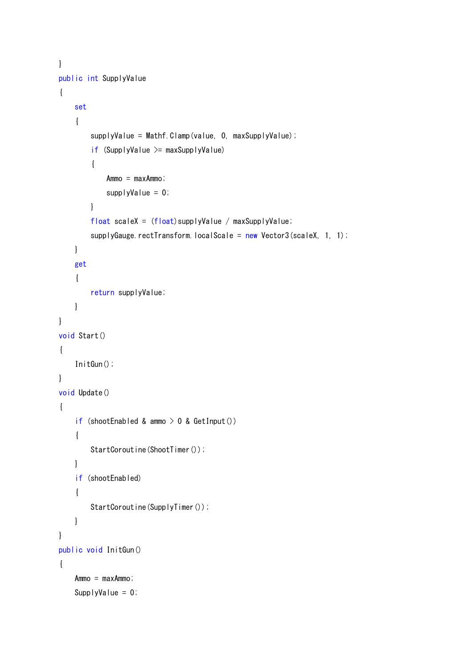```
 }
    public int SupplyValue
     {
         set
         {
             supplyValue = Mathf.Clamp(value, 0, maxSupplyValue);
            if (SupplyValue \geq maxSupplyValue)\{ Ammo = maxAmmo;
                supplyValue = 0;
 }
            float scaleX = (float)supplyValue / maxSupplyValue;
            supplyGauge.rectTransform.localScale = new Vector3(scaleX, 1, 1);
         }
         get
         {
             return supplyValue;
         }
    }
    void Start()
     {
         InitGun();
    }
    void Update()
     {
        if (shootEnabled & ammo > 0 & GetInput())
         {
            StartCoroutine(ShootTimer());
         }
         if (shootEnabled)
         {
            StartCoroutine(SupplyTimer());
         }
    }
    public void InitGun()
     {
        Ammo = maxAmmo;
        SupplyValue = 0;
```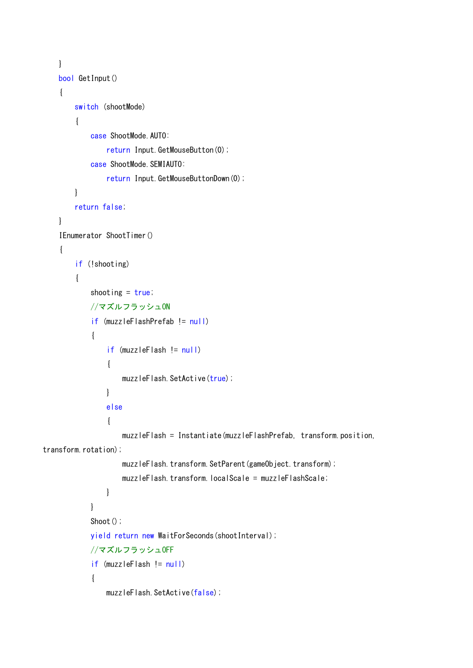```
 }
     bool GetInput()
     {
         switch (shootMode)
          {
              case ShootMode.AUTO:
                 return Input. GetMouseButton(0);
             case ShootMode. SEMIAUTO:
                 return Input. GetMouseButtonDown(0);
         }
         return false;
     }
     IEnumerator ShootTimer()
     {
         if (!shooting)
          {
             shooting = true;
              //マズルフラッシュON
              if (muzzleFlashPrefab != null)
\{ if (muzzleFlash != null)
\left\{ \begin{array}{c} \end{array} \right.muzzleFlash.SetActive(true);
 }
                  else
\left\{ \begin{array}{c} \end{array} \right. muzzleFlash = Instantiate(muzzleFlashPrefab, transform.position, 
transform.rotation);
                      muzzleFlash.transform.SetParent(gameObject.transform);
                       muzzleFlash.transform.localScale = muzzleFlashScale;
 }
              }
             Shoot();
              yield return new WaitForSeconds(shootInterval);
              //マズルフラッシュOFF
              if (muzzleFlash != null)
\left\{ \begin{array}{c} 1 & 1 \\ 1 & 1 \end{array} \right\}muzzleFlash.SetActive(false);
```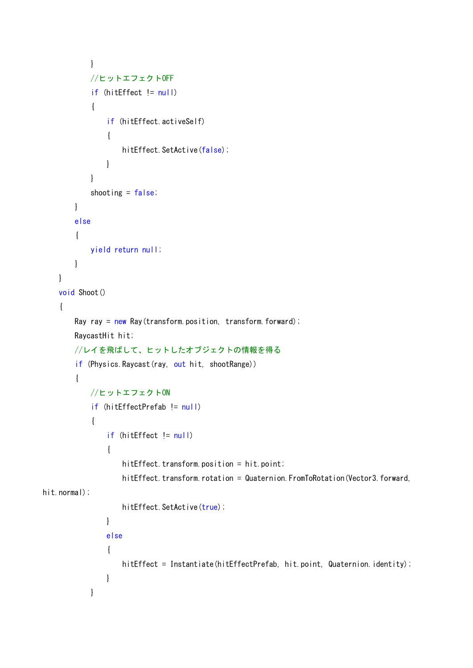```
 }
             //ヒットエフェクトOFF
             if (hitEffect != null)
\{ if (hitEffect.activeSelf)
\left\{ \begin{array}{c} \end{array} \right.hitEffect. SetActive(false);
 }
             }
            shooting = false;
         }
         else
         {
             yield return null;
         }
    }
    void Shoot()
     {
        Ray ray = new Ray(transform.position, transform.forward);
         RaycastHit hit;
         //レイを飛ばして、ヒットしたオブジェクトの情報を得る
        if (Physics. Raycast (ray, out hit, shootRange))
         {
            //ヒットエフェクトON
             if (hitEffectPrefab != null)
\{ if (hitEffect != null)
\left\{ \begin{array}{c} \end{array} \right.hitEffect.transform.position = hit.point;
                    hitEffect.transform.rotation = Quaternion.FromToRotation(Vector3.forward,
hit.normal);
                    hitEffect. SetActive(true);
 }
                 else
\left\{ \begin{array}{c} \end{array} \right.hitEffect = Instantiate(hitEffectPrefab, hit.point, Quaternion.identity);
 }
             }
```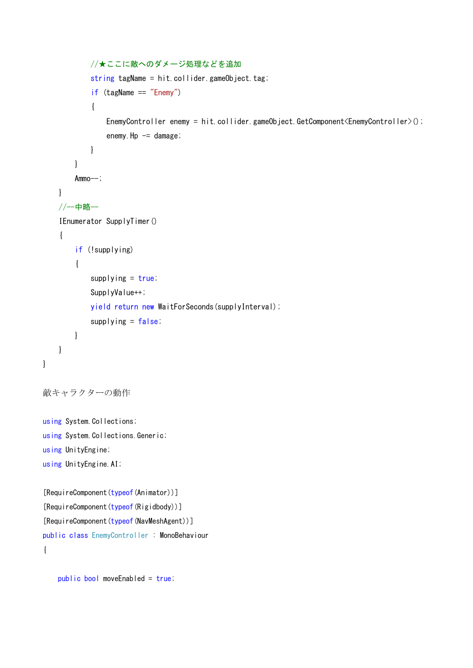```
 //★ここに敵へのダメージ処理などを追加
           string tagName = hit.collider.gameObject.tag;
            if (tagName == "Enemy")
\{EnemyController enemy = hit.collider.gameObject.GetComponent<EnemyController>();
               enemy. Hp = damage; }
        }
        Ammo--;
    }
    //--中略--
     IEnumerator SupplyTimer()
     {
       if (!supplying)
         {
           supplying = true;
            SupplyValue++;
            yield return new WaitForSeconds(supplyInterval);
           supplying = false;
        }
    }
敵キャラクターの動作
using System. Collections;
using System. Collections. Generic;
using UnityEngine;
using UnityEngine.AI;
[RequireComponent(typeof(Animator))]
```
[RequireComponent(typeof(Rigidbody))] [RequireComponent(typeof(NavMeshAgent))] public class EnemyController : MonoBehaviour {

}

```
 public bool moveEnabled = true;
```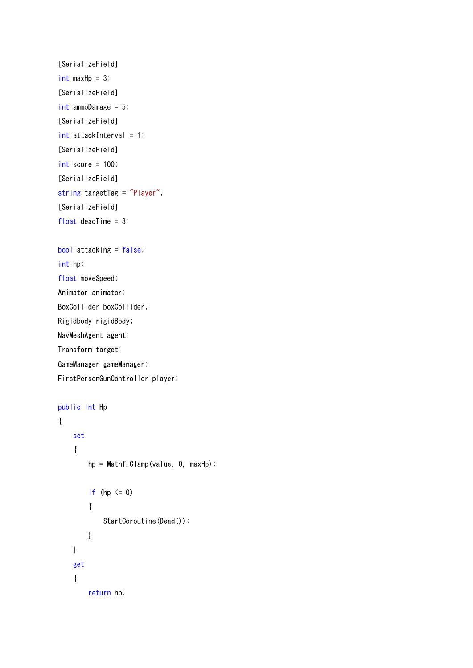```
 [SerializeField]
int maxHp = 3;
 [SerializeField]
 int ammoDamage = 5;
 [SerializeField]
int attackInterval = 1;
 [SerializeField]
 int score = 100;
 [SerializeField]
 string targetTag = "Player";
 [SerializeField]
float deadTime = 3;
```

```
 bool attacking = false;
 int hp;
```
 float moveSpeed; Animator animator; BoxCollider boxCollider; Rigidbody rigidBody;

NavMeshAgent agent;

Transform target;

GameManager gameManager;

FirstPersonGunController player;

```
 public int Hp
               {
                             set
\left\{ \begin{array}{ccc} 0 & 0 & 0 \\ 0 & 0 & 0 \\ 0 & 0 & 0 \\ 0 & 0 & 0 \\ 0 & 0 & 0 \\ 0 & 0 & 0 \\ 0 & 0 & 0 \\ 0 & 0 & 0 \\ 0 & 0 & 0 \\ 0 & 0 & 0 \\ 0 & 0 & 0 \\ 0 & 0 & 0 \\ 0 & 0 & 0 \\ 0 & 0 & 0 & 0 \\ 0 & 0 & 0 & 0 \\ 0 & 0 & 0 & 0 \\ 0 & 0 & 0 & 0 \\ 0 & 0 & 0 & 0 & 0 \\ 0 & 0 & 0 & 0 & 0 \\ 0 & 0 & 0 & 0 & 0hp = Mathf. Clamp(value, 0, maxHp);
                                           if (hp \leq 0)
                                            {
                                                         StartCoroutine(Dead());
                                           }
                             }
                             get
                              {
                                            return hp;
```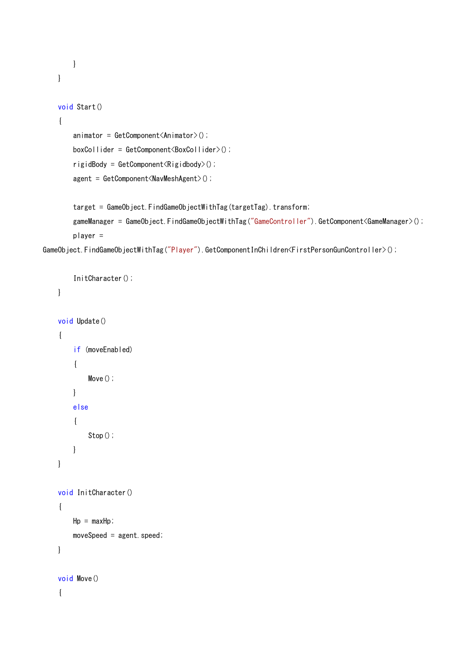```
 }
 }
 void Start()
 {
    animator = GetComponent<Animator);
     boxCollider = GetComponent<BoxCollider>();
     rigidBody = GetComponent<Rigidbody>();
     agent = GetComponent<NavMeshAgent>();
    target = GameObject.FindGameObjectWithTag(targetTag).transform;
    gameManager = GameObject.FindGameObjectWithTag("GameController").GetComponent<GameManager>();
     player =
```
GameObject.FindGameObjectWithTag("Player").GetComponentInChildren<FirstPersonGunController>();

```
InitCharacter();
           }
            void Update()
            {
                         if (moveEnabled)
                         {
                                    Move();
                        }
                        else
\left\{ \begin{array}{ccc} 0 & 0 & 0 \\ 0 & 0 & 0 \\ 0 & 0 & 0 \\ 0 & 0 & 0 \\ 0 & 0 & 0 \\ 0 & 0 & 0 \\ 0 & 0 & 0 \\ 0 & 0 & 0 \\ 0 & 0 & 0 \\ 0 & 0 & 0 \\ 0 & 0 & 0 \\ 0 & 0 & 0 \\ 0 & 0 & 0 \\ 0 & 0 & 0 & 0 \\ 0 & 0 & 0 & 0 \\ 0 & 0 & 0 & 0 \\ 0 & 0 & 0 & 0 \\ 0 & 0 & 0 & 0 & 0 \\ 0 & 0 & 0 & 0 & 0 \\ 0 & 0 & 0 & 0 & 0 Stop();
                        }
           }
            void InitCharacter()
            {
                       Hp = maxHp;moveSpeed = agent. speed; }
            void Move()
             {
```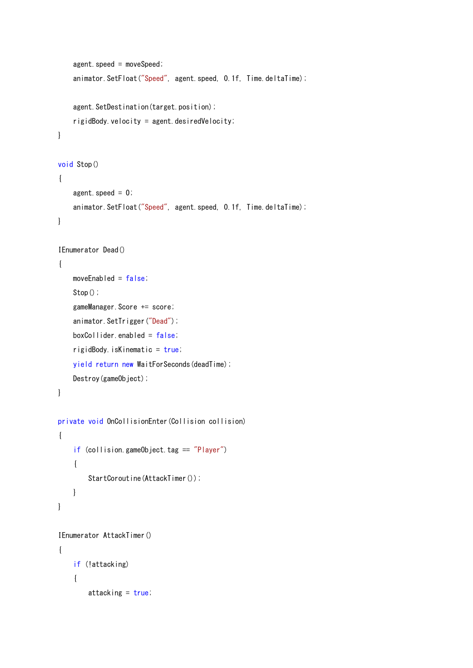```
agent. speed = moveSpeed;
    animator. SetFloat ("Speed", agent. speed, 0.1f, Time. deltaTime);
    agent. SetDestination(target.position);
     rigidBody.velocity = agent.desiredVelocity;
 }
 void Stop()
 {
    agent. speed = 0;
    animator. SetFloat("Speed", agent. speed, 0.1f, Time. deltaTime);
 }
 IEnumerator Dead()
 {
    moveEnabled = false;
    Stop();
     gameManager.Score += score;
    animator. SetTrigger("Dead");
     boxCollider.enabled = false;
    rightedBody. isKinematic = true;
     yield return new WaitForSeconds(deadTime);
     Destroy(gameObject);
 }
 private void OnCollisionEnter(Collision collision)
 {
    if (collision.gameObject.tag == "Player")
     {
        StartCoroutine(AttackTimer());
     }
 }
 IEnumerator AttackTimer()
 {
    if (!attacking)
     {
          attacking = true;
```